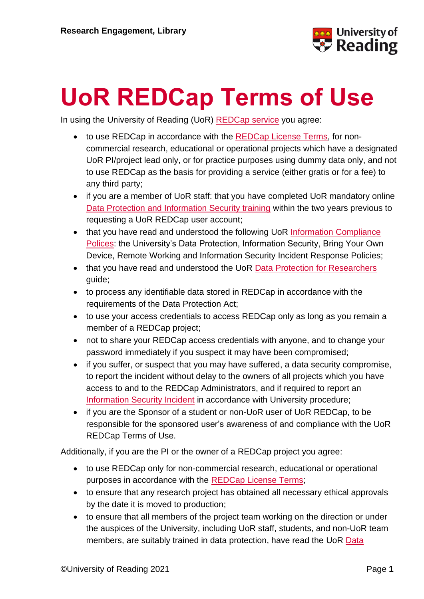

## **UoR REDCap Terms of Use**

In using the University of Reading (UoR) [REDCap service](https://www.reading.ac.uk/research-services/research-data-management/managing-your-data/uor-redcap) you agree:

- to use REDCap in accordance with the [REDCap License Terms,](https://projectredcap.org/partners/termsofuse/) for noncommercial research, educational or operational projects which have a designated UoR PI/project lead only, or for practice purposes using dummy data only, and not to use REDCap as the basis for providing a service (either gratis or for a fee) to any third party;
- if you are a member of UoR staff: that you have completed UoR mandatory online [Data Protection and Information Security training](http://www.reading.ac.uk/internal/humanresources/PeopleDevelopment/newstaff/humres-MandatoryOnlineCourses.aspx) within the two years previous to requesting a UoR REDCap user account;
- that you have read and understood the following UoR Information Compliance [Polices:](http://www.reading.ac.uk/internal/imps/policiesdocs/imps-policies.aspx) the University's Data Protection, Information Security, Bring Your Own Device, Remote Working and Information Security Incident Response Policies;
- that you have read and understood the UoR [Data Protection for Researchers](http://www.reading.ac.uk/internal/imps/DataProtection/imps-d-p-dataprotectionandresearch.aspx) guide;
- to process any identifiable data stored in REDCap in accordance with the requirements of the Data Protection Act;
- to use your access credentials to access REDCap only as long as you remain a member of a REDCap project;
- not to share your REDCap access credentials with anyone, and to change your password immediately if you suspect it may have been compromised;
- if you suffer, or suspect that you may have suffered, a data security compromise, to report the incident without delay to the owners of all projects which you have access to and to the REDCap Administrators, and if required to report an [Information Security Incident](http://www.reading.ac.uk/internal/imps/policiesdocs/imps-policies.aspx) in accordance with University procedure;
- if you are the Sponsor of a student or non-UoR user of UoR REDCap, to be responsible for the sponsored user's awareness of and compliance with the UoR REDCap Terms of Use.

Additionally, if you are the PI or the owner of a REDCap project you agree:

- to use REDCap only for non-commercial research, educational or operational purposes in accordance with the [REDCap License Terms;](https://projectredcap.org/partners/termsofuse/)
- to ensure that any research project has obtained all necessary ethical approvals by the date it is moved to production;
- to ensure that all members of the project team working on the direction or under the auspices of the University, including UoR staff, students, and non-UoR team members, are suitably trained in data protection, have read the UoR [Data](http://www.reading.ac.uk/internal/imps/DataProtection/imps-d-p-dataprotectionandresearch.aspx)